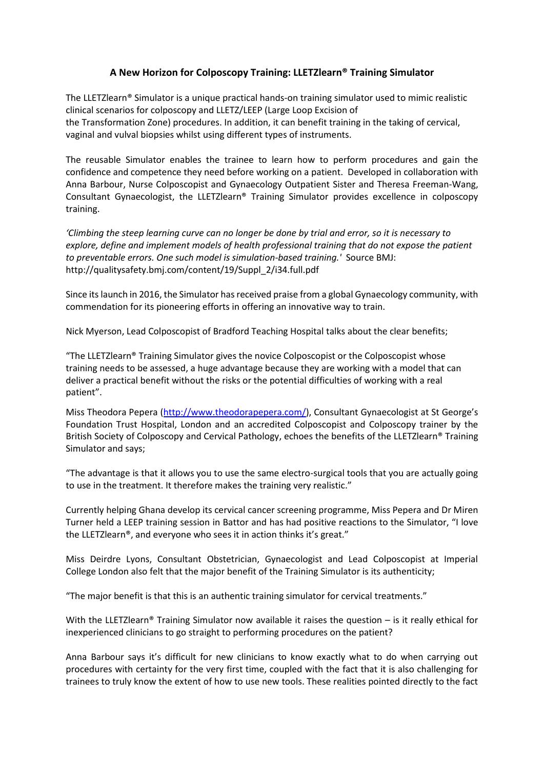## **A New Horizon for Colposcopy Training: LLETZlearn® Training Simulator**

The LLETZlearn® Simulator is a unique practical hands-on training simulator used to mimic realistic clinical scenarios for colposcopy and LLETZ/LEEP (Large Loop Excision of the Transformation Zone) procedures. In addition, it can benefit training in the taking of cervical, vaginal and vulval biopsies whilst using different types of instruments.

The reusable Simulator enables the trainee to learn how to perform procedures and gain the confidence and competence they need before working on a patient. Developed in collaboration with Anna Barbour, Nurse Colposcopist and Gynaecology Outpatient Sister and Theresa Freeman-Wang, Consultant Gynaecologist, the LLETZlearn® Training Simulator provides excellence in colposcopy training.

*'Climbing the steep learning curve can no longer be done by trial and error, so it is necessary to explore, define and implement models of health professional training that do not expose the patient to preventable errors. One such model is simulation-based training.'* Source BMJ: [http://qualitysafety.bmj.com/content/19/Suppl\\_2/i34.full.pdf](http://qualitysafety.bmj.com/content/19/Suppl_2/i34.full.pdf)

Since its launch in 2016, the Simulator has received praise from a global Gynaecology community, with commendation for its pioneering efforts in offering an innovative way to train.

Nick Myerson, Lead Colposcopist of Bradford Teaching Hospital talks about the clear benefits;

"The LLETZlearn® Training Simulator gives the novice Colposcopist or the Colposcopist whose training needs to be assessed, a huge advantage because they are working with a model that can deliver a practical benefit without the risks or the potential difficulties of working with a real patient".

Miss Theodora Pepera [\(http://www.theodorapepera.com/\)](http://www.theodorapepera.com/), Consultant Gynaecologist at St George's Foundation Trust Hospital, London and an accredited Colposcopist and Colposcopy trainer by the British Society of Colposcopy and Cervical Pathology, echoes the benefits of the LLETZlearn® Training Simulator and says;

"The advantage is that it allows you to use the same electro-surgical tools that you are actually going to use in the treatment. It therefore makes the training very realistic."

Currently helping Ghana develop its cervical cancer screening programme, Miss Pepera and Dr Miren Turner held a LEEP training session in Battor and has had positive reactions to the Simulator, "I love the LLETZlearn®, and everyone who sees it in action thinks it's great."

Miss Deirdre Lyons, Consultant Obstetrician, Gynaecologist and Lead Colposcopist at Imperial College London also felt that the major benefit of the Training Simulator is its authenticity;

"The major benefit is that this is an authentic training simulator for cervical treatments."

With the LLETZlearn<sup>®</sup> Training Simulator now available it raises the question  $-$  is it really ethical for inexperienced clinicians to go straight to performing procedures on the patient?

Anna Barbour says it's difficult for new clinicians to know exactly what to do when carrying out procedures with certainty for the very first time, coupled with the fact that it is also challenging for trainees to truly know the extent of how to use new tools. These realities pointed directly to the fact